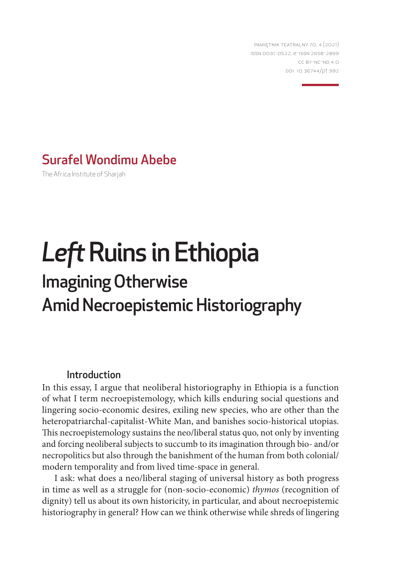PAMIĘTNIK TEATRALNY 70, 4 (2021) ISSN 0031-0522, e-ISSN 2658-2899 CC BY-NC-ND 4.0 DOI: 10.36744/pt.992

# Surafel Wondimu Abebe

The Africa Institute of Sharjah

# *Left* Ruins in Ethiopia Imagining Otherwise Amid Necroepistemic Historiography

## Introduction

In this essay, I argue that neoliberal historiography in Ethiopia is a function of what I term necroepistemology, which kills enduring social questions and lingering socio-economic desires, exiling new species, who are other than the heteropatriarchal-capitalist-White Man, and banishes socio-historical utopias. This necroepistemology sustains the neo/liberal status quo, not only by inventing and forcing neoliberal subjects to succumb to its imagination through bio- and/or necropolitics but also through the banishment of the human from both colonial/ modern temporality and from lived time-space in general.

I ask: what does a neo/liberal staging of universal history as both progress in time as well as a struggle for (non-socio-economic) *thymos* (recognition of dignity) tell us about its own historicity, in particular, and about necroepistemic historiography in general? How can we think otherwise while shreds of lingering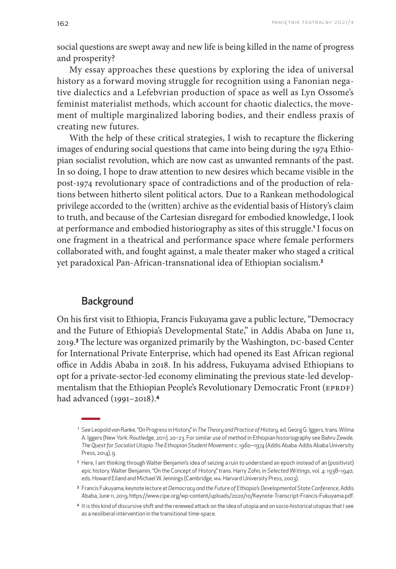social questions are swept away and new life is being killed in the name of progress and prosperity?

My essay approaches these questions by exploring the idea of universal history as a forward moving struggle for recognition using a Fanonian negative dialectics and a Lefebvrian production of space as well as Lyn Ossome's feminist materialist methods, which account for chaotic dialectics, the movement of multiple marginalized laboring bodies, and their endless praxis of creating new futures.

With the help of these critical strategies, I wish to recapture the flickering images of enduring social questions that came into being during the 1974 Ethiopian socialist revolution, which are now cast as unwanted remnants of the past. In so doing, I hope to draw attention to new desires which became visible in the post-1974 revolutionary space of contradictions and of the production of relations between hitherto silent political actors. Due to a Rankean methodological privilege accorded to the (written) archive as the evidential basis of History's claim to truth, and because of the Cartesian disregard for embodied knowledge, I look at performance and embodied historiography as sites of this struggle.<sup>1</sup> I focus on one fragment in a theatrical and performance space where female performers collaborated with, and fought against, a male theater maker who staged a critical yet paradoxical Pan-African-transnational idea of Ethiopian socialism.**<sup>2</sup>**

# **Background**

On his first visit to Ethiopia, Francis Fukuyama gave a public lecture, "Democracy and the Future of Ethiopia's Developmental State," in Addis Ababa on June 11, 2019.**<sup>3</sup>** The lecture was organized primarily by the Washington, DC-based Center for International Private Enterprise, which had opened its East African regional office in Addis Ababa in 2018. In his address, Fukuyama advised Ethiopians to opt for a private-sector-led economy eliminating the previous state-led developmentalism that the Ethiopian People's Revolutionary Democratic Front (EPRDF) had advanced (1991–2018).**<sup>4</sup>**

<sup>1</sup> See Leopold von Ranke, "On Progress in History," in *The Theory and Practice of History*, ed. Georg G. Iggers, trans. Wilma A. Iggers (New York: Routledge, 2011), 20–23. For similar use of method in Ethiopian historiography see Bahru Zewde, *The Quest for Socialist Utopia: The Ethiopian Student Movement c. 1960‒1974* (Addis Ababa: Addis Ababa University Press, 2014), 9.

<sup>&</sup>lt;sup>2</sup> Here, I am thinking through Walter Benjamin's idea of seizing a ruin to understand an epoch instead of an (positivist) epic history. Walter Benjamin, "On the Concept of History," trans. Harry Zohn, in *Selected Writings*, vol. 4: 1938–1940, eds. Howard Eiland and Michael W. Jennings (Cambridge, MA: Harvard University Press, 2003).

<sup>3</sup> Francis Fukuyama, keynote lecture at *Democracy and the Future of Ethiopia's Developmental State Conference*, Addis Ababa, June 11, 2019, https://www.cipe.org/wp-content/uploads/2020/10/Keynote-Transcript-Francis-Fukuyama.pdf.

<sup>4</sup> It is this kind of discursive shift and the renewed attack on the idea of utopia and on socio-historical utopias that I see as a neoliberal intervention in the transitional time-space.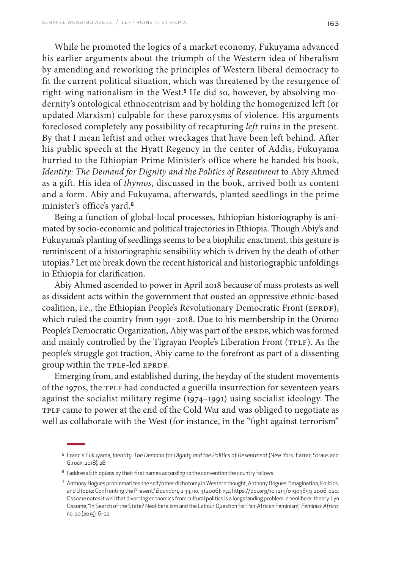While he promoted the logics of a market economy, Fukuyama advanced his earlier arguments about the triumph of the Western idea of liberalism by amending and reworking the principles of Western liberal democracy to fit the current political situation, which was threatened by the resurgence of right-wing nationalism in the West.**<sup>5</sup>** He did so, however, by absolving modernity's ontological ethnocentrism and by holding the homogenized left (or updated Marxism) culpable for these paroxysms of violence. His arguments foreclosed completely any possibility of recapturing *left* ruins in the present. By that I mean leftist and other wreckages that have been left behind. After his public speech at the Hyatt Regency in the center of Addis, Fukuyama hurried to the Ethiopian Prime Minister's office where he handed his book, *Identity: The Demand for Dignity and the Politics of Resentment* to Abiy Ahmed as a gift. His idea of *thymos*, discussed in the book, arrived both as content and a form. Abiy and Fukuyama, afterwards, planted seedlings in the prime minister's office's yard.**<sup>6</sup>**

Being a function of global-local processes, Ethiopian historiography is animated by socio-economic and political trajectories in Ethiopia. Though Abiy's and Fukuyama's planting of seedlings seems to be a biophilic enactment, this gesture is reminiscent of a historiographic sensibility which is driven by the death of other utopias.**<sup>7</sup>** Let me break down the recent historical and historiographic unfoldings in Ethiopia for clarification.

Abiy Ahmed ascended to power in April 2018 because of mass protests as well as dissident acts within the government that ousted an oppressive ethnic-based coalition, i.e., the Ethiopian People's Revolutionary Democratic Front (EPRDF), which ruled the country from 1991–2018. Due to his membership in the Oromo People's Democratic Organization, Abiy was part of the EPRDF, which was formed and mainly controlled by the Tigrayan People's Liberation Front (TPLF). As the people's struggle got traction, Abiy came to the forefront as part of a dissenting group within the TPLF-led EPRDF.

Emerging from, and established during, the heyday of the student movements of the 1970s, the TPLF had conducted a guerilla insurrection for seventeen years against the socialist military regime (1974–1991) using socialist ideology. The TPLF came to power at the end of the Cold War and was obliged to negotiate as well as collaborate with the West (for instance, in the "fight against terrorism"

<sup>5</sup> Francis Fukuyama, *Identity: The Demand for Dignity and the Politics of Resentment* (New York: Farrar, Straus and Giroux, 2018), 28.

<sup>6</sup> I address Ethiopians by their first names according to the convention the country follows.

<sup>7</sup> Anthony Bogues problematizes the self/other dichotomy in Western thought, Anthony Bogues, "Imagination, Politics, and Utopia: Confronting the Present," *Boundary 2* 33, no. 3 (2006): 152, https://doi.org/10.1215/01903659-2006-020. Ossome notes it well that divorcing economics from cultural politics is a longstanding problem in neoliberal theory, Lyn Ossome, "In Search of the State? Neoliberalism and the Labour Question for Pan-African Feminism," *Feminist Africa*, no. 20 (2015): 6–22.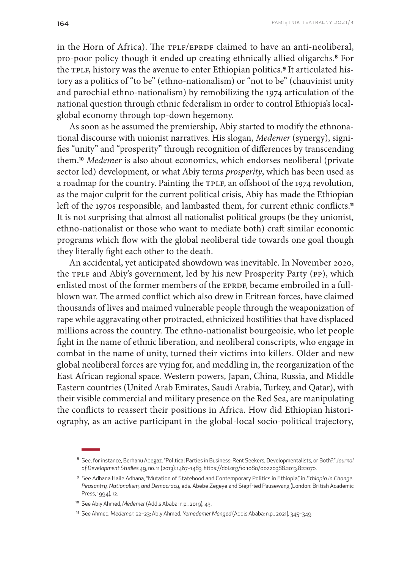in the Horn of Africa). The TPLF/EPRDF claimed to have an anti-neoliberal, pro-poor policy though it ended up creating ethnically allied oligarchs.**8** For the TPLF, history was the avenue to enter Ethiopian politics.**9** It articulated history as a politics of "to be" (ethno-nationalism) or "not to be" (chauvinist unity and parochial ethno-nationalism) by remobilizing the 1974 articulation of the national question through ethnic federalism in order to control Ethiopia's localglobal economy through top-down hegemony.

As soon as he assumed the premiership, Abiy started to modify the ethnonational discourse with unionist narratives. His slogan, *Medemer* (synergy), signifies "unity" and "prosperity" through recognition of differences by transcending them.**<sup>10</sup>** *Medemer* is also about economics, which endorses neoliberal (private sector led) development, or what Abiy terms *prosperity*, which has been used as a roadmap for the country. Painting the TPLF, an offshoot of the 1974 revolution, as the major culprit for the current political crisis, Abiy has made the Ethiopian left of the 1970s responsible, and lambasted them, for current ethnic conflicts.**<sup>11</sup>** It is not surprising that almost all nationalist political groups (be they unionist, ethno-nationalist or those who want to mediate both) craft similar economic programs which flow with the global neoliberal tide towards one goal though they literally fight each other to the death.

An accidental, yet anticipated showdown was inevitable. In November 2020, the TPLF and Abiy's government, led by his new Prosperity Party (PP), which enlisted most of the former members of the EPRDF, became embroiled in a fullblown war. The armed conflict which also drew in Eritrean forces, have claimed thousands of lives and maimed vulnerable people through the weaponization of rape while aggravating other protracted, ethnicized hostilities that have displaced millions across the country. The ethno-nationalist bourgeoisie, who let people fight in the name of ethnic liberation, and neoliberal conscripts, who engage in combat in the name of unity, turned their victims into killers. Older and new global neoliberal forces are vying for, and meddling in, the reorganization of the East African regional space. Western powers, Japan, China, Russia, and Middle Eastern countries (United Arab Emirates, Saudi Arabia, Turkey, and Qatar), with their visible commercial and military presence on the Red Sea, are manipulating the conflicts to reassert their positions in Africa. How did Ethiopian historiography, as an active participant in the global-local socio-political trajectory,

<sup>8</sup> See, for instance, Berhanu Abegaz, "Political Parties in Business: Rent Seekers, Developmentalists, or Both?," *Journal of Development Studies* 49, no. 11 (2013): 1467–1483, https://doi.org/10.1080/00220388.2013.822070.

<sup>9</sup> See Adhana Haile Adhana, "Mutation of Statehood and Contemporary Politics in Ethiopia," in *Ethiopia in Change: Peasantry, Nationalism, and Democracy*, eds. Abebe Zegeye and Siegfried Pausewang (London: British Academic Press, 1994), 12.

<sup>10</sup> See Abiy Ahmed, *Medemer* (Addis Ababa: n.p., 2019), 43.

<sup>11</sup> See Ahmed, *Medemer*, 22–23; Abiy Ahmed, *Yemedemer Menged* (Addis Ababa: n.p., 2021), 345–349.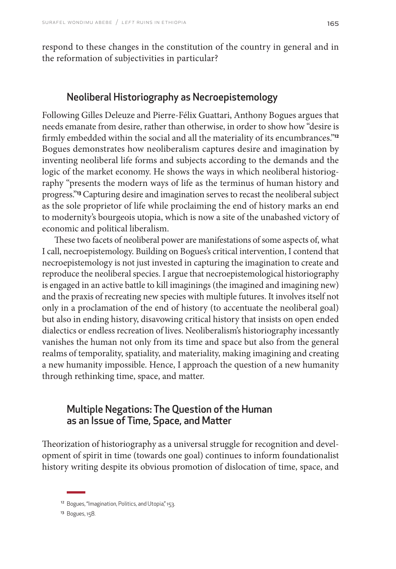respond to these changes in the constitution of the country in general and in the reformation of subjectivities in particular?

## Neoliberal Historiography as Necroepistemology

Following Gilles Deleuze and Pierre-Félix Guattari, Anthony Bogues argues that needs emanate from desire, rather than otherwise, in order to show how "desire is firmly embedded within the social and all the materiality of its encumbrances."**<sup>12</sup>** Bogues demonstrates how neoliberalism captures desire and imagination by inventing neoliberal life forms and subjects according to the demands and the logic of the market economy. He shows the ways in which neoliberal historiography "presents the modern ways of life as the terminus of human history and progress."**13** Capturing desire and imagination serves to recast the neoliberal subject as the sole proprietor of life while proclaiming the end of history marks an end to modernity's bourgeois utopia, which is now a site of the unabashed victory of economic and political liberalism.

These two facets of neoliberal power are manifestations of some aspects of, what I call, necroepistemology. Building on Bogues's critical intervention, I contend that necroepistemology is not just invested in capturing the imagination to create and reproduce the neoliberal species. I argue that necroepistemological historiography is engaged in an active battle to kill imaginings (the imagined and imagining new) and the praxis of recreating new species with multiple futures. It involves itself not only in a proclamation of the end of history (to accentuate the neoliberal goal) but also in ending history, disavowing critical history that insists on open ended dialectics or endless recreation of lives. Neoliberalism's historiography incessantly vanishes the human not only from its time and space but also from the general realms of temporality, spatiality, and materiality, making imagining and creating a new humanity impossible. Hence, I approach the question of a new humanity through rethinking time, space, and matter.

# Multiple Negations: The Question of the Human as an Issue of Time, Space, and Matter

Theorization of historiography as a universal struggle for recognition and development of spirit in time (towards one goal) continues to inform foundationalist history writing despite its obvious promotion of dislocation of time, space, and

<sup>&</sup>lt;sup>12</sup> Bogues, "Imagination, Politics, and Utopia," 153.

<sup>13</sup> Bogues, 158.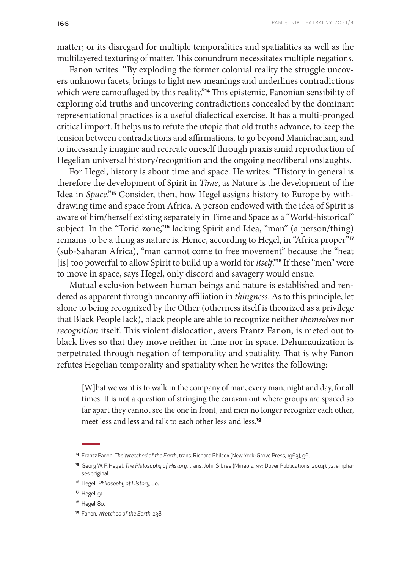matter; or its disregard for multiple temporalities and spatialities as well as the multilayered texturing of matter. This conundrum necessitates multiple negations.

Fanon writes: **"**By exploding the former colonial reality the struggle uncovers unknown facets, brings to light new meanings and underlines contradictions which were camouflaged by this reality."**14** This epistemic, Fanonian sensibility of exploring old truths and uncovering contradictions concealed by the dominant representational practices is a useful dialectical exercise. It has a multi-pronged critical import. It helps us to refute the utopia that old truths advance, to keep the tension between contradictions and affirmations, to go beyond Manichaeism, and to incessantly imagine and recreate oneself through praxis amid reproduction of Hegelian universal history/recognition and the ongoing neo/liberal onslaughts.

For Hegel, history is about time and space. He writes: "History in general is therefore the development of Spirit in *Time*, as Nature is the development of the Idea in *Space*."**15** Consider, then, how Hegel assigns history to Europe by withdrawing time and space from Africa. A person endowed with the idea of Spirit is aware of him/herself existing separately in Time and Space as a "World-historical" subject. In the "Torid zone,"**16** lacking Spirit and Idea, "man" (a person/thing) remains to be a thing as nature is. Hence, according to Hegel, in "Africa proper"**<sup>17</sup>** (sub-Saharan Africa), "man cannot come to free movement" because the "heat [is] too powerful to allow Spirit to build up a world for *itself*."**18** If these "men" were to move in space, says Hegel, only discord and savagery would ensue.

Mutual exclusion between human beings and nature is established and rendered as apparent through uncanny affiliation in *thingness*. As to this principle, let alone to being recognized by the Other (otherness itself is theorized as a privilege that Black People lack), black people are able to recognize neither *themselves* nor *recognition* itself. This violent dislocation, avers Frantz Fanon, is meted out to black lives so that they move neither in time nor in space. Dehumanization is perpetrated through negation of temporality and spatiality. That is why Fanon refutes Hegelian temporality and spatiality when he writes the following:

[W]hat we want is to walk in the company of man, every man, night and day, for all times. It is not a question of stringing the caravan out where groups are spaced so far apart they cannot see the one in front, and men no longer recognize each other, meet less and less and talk to each other less and less.**<sup>19</sup>**

<sup>14</sup> Frantz Fanon, *The Wretched of the Earth*, trans. Richard Philcox (New York: Grove Press, 1963), 96.

<sup>15</sup> Georg W. F. Hegel, *The Philosophy of History*, trans. John Sibree (Mineola, NY: Dover Publications, 2004), 72, emphases original.

<sup>16</sup> Hegel, *Philosophy of History*, 80.

<sup>17</sup> Hegel, 91.

<sup>&</sup>lt;sup>18</sup> Hegel, 80.

<sup>19</sup> Fanon, *Wretched of the Earth*, 238.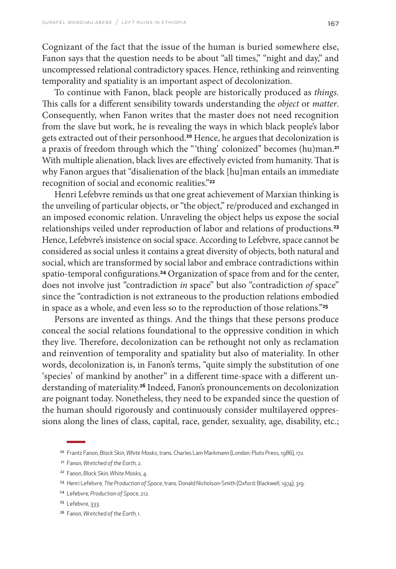Cognizant of the fact that the issue of the human is buried somewhere else, Fanon says that the question needs to be about "all times," "night and day," and uncompressed relational contradictory spaces. Hence, rethinking and reinventing temporality and spatiality is an important aspect of decolonization.

To continue with Fanon, black people are historically produced as *things.*  This calls for a different sensibility towards understanding the *object* or *matter*. Consequently, when Fanon writes that the master does not need recognition from the slave but work, he is revealing the ways in which black people's labor gets extracted out of their personhood.**20** Hence, he argues that decolonization is a praxis of freedom through which the "'thing' colonized" becomes (hu)man.**<sup>21</sup>** With multiple alienation, black lives are effectively evicted from humanity. That is why Fanon argues that "disalienation of the black [hu]man entails an immediate recognition of social and economic realities."**<sup>22</sup>**

Henri Lefebvre reminds us that one great achievement of Marxian thinking is the unveiling of particular objects, or "the object," re/produced and exchanged in an imposed economic relation. Unraveling the object helps us expose the social relationships veiled under reproduction of labor and relations of productions.**<sup>23</sup>** Hence, Lefebvre's insistence on social space. According to Lefebvre, space cannot be considered as social unless it contains a great diversity of objects, both natural and social, which are transformed by social labor and embrace contradictions within spatio-temporal configurations.**24** Organization of space from and for the center, does not involve just "contradiction *in* space" but also "contradiction *of* space" since the "contradiction is not extraneous to the production relations embodied in space as a whole, and even less so to the reproduction of those relations."**<sup>25</sup>**

Persons are invented as things. And the things that these persons produce conceal the social relations foundational to the oppressive condition in which they live. Therefore, decolonization can be rethought not only as reclamation and reinvention of temporality and spatiality but also of materiality. In other words, decolonization is, in Fanon's terms, "quite simply the substitution of one 'species' of mankind by another" in a different time-space with a different understanding of materiality.**26** Indeed, Fanon's pronouncements on decolonization are poignant today. Nonetheless, they need to be expanded since the question of the human should rigorously and continuously consider multilayered oppressions along the lines of class, capital, race, gender, sexuality, age, disability, etc.;

<sup>20</sup> Frantz Fanon, *Black Skin, White Masks*, trans. Charles Lam Markmann (London: Pluto Press, 1986), 172.

<sup>21</sup> Fanon, *Wretched of the Earth*, 2.

<sup>22</sup> Fanon, *Black Skin, White Masks*, 4.

<sup>23</sup> Henri Lefebvre, *The Production of Space*, trans. Donald Nicholson-Smith (Oxford: Blackwell, 1974), 319.

<sup>24</sup> Lefebvre, *Production of Space*, 212.

<sup>25</sup> Lefebvre, 333.

<sup>26</sup> Fanon, *Wretched of the Earth*, 1.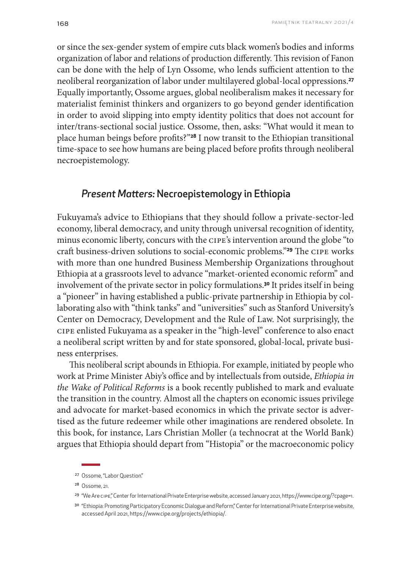or since the sex-gender system of empire cuts black women's bodies and informs organization of labor and relations of production differently. This revision of Fanon can be done with the help of Lyn Ossome, who lends sufficient attention to the neoliberal reorganization of labor under multilayered global-local oppressions.**<sup>27</sup>** Equally importantly, Ossome argues, global neoliberalism makes it necessary for materialist feminist thinkers and organizers to go beyond gender identification in order to avoid slipping into empty identity politics that does not account for inter/trans-sectional social justice. Ossome, then, asks: "What would it mean to place human beings before profits?"**28** I now transit to the Ethiopian transitional time-space to see how humans are being placed before profits through neoliberal necroepistemology.

# *Present Matters:* Necroepistemology in Ethiopia

Fukuyama's advice to Ethiopians that they should follow a private-sector-led economy, liberal democracy, and unity through universal recognition of identity, minus economic liberty, concurs with the CIPE's intervention around the globe "to craft business-driven solutions to social-economic problems."**29** The CIPE works with more than one hundred Business Membership Organizations throughout Ethiopia at a grassroots level to advance "market-oriented economic reform" and involvement of the private sector in policy formulations.**30** It prides itself in being a "pioneer" in having established a public-private partnership in Ethiopia by collaborating also with "think tanks" and "universities" such as Stanford University's Center on Democracy, Development and the Rule of Law. Not surprisingly, the CIPE enlisted Fukuyama as a speaker in the "high-level" conference to also enact a neoliberal script written by and for state sponsored, global-local, private business enterprises.

This neoliberal script abounds in Ethiopia. For example, initiated by people who work at Prime Minister Abiy's office and by intellectuals from outside, *Ethiopia in the Wake of Political Reforms* is a book recently published to mark and evaluate the transition in the country. Almost all the chapters on economic issues privilege and advocate for market-based economics in which the private sector is advertised as the future redeemer while other imaginations are rendered obsolete. In this book, for instance, Lars Christian Moller (a technocrat at the World Bank) argues that Ethiopia should depart from "Histopia" or the macroeconomic policy

<sup>&</sup>lt;sup>27</sup> Ossome, "Labor Question."

<sup>28</sup> Ossome, 21.

<sup>29 &</sup>quot;We Are cipe," Center for International Private Enterprise website, accessed January 2021, https://www.cipe.org/?cpage=1.

<sup>30 &</sup>quot;Ethiopia: Promoting Participatory Economic Dialogue and Reform," Center for International Private Enterprise website, accessed April 2021, https://www.cipe.org/projects/ethiopia/.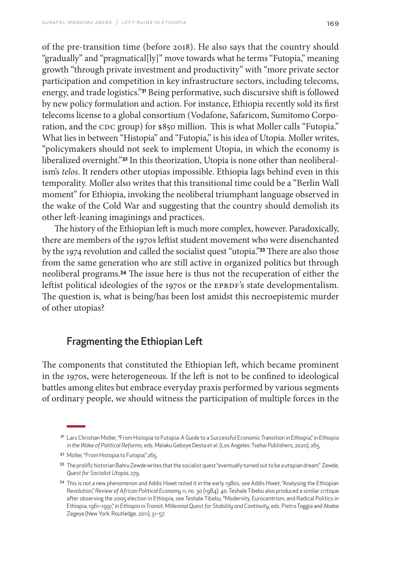of the pre-transition time (before 2018). He also says that the country should "gradually" and "pragmatical[ly]" move towards what he terms "Futopia," meaning growth "through private investment and productivity" with "more private sector participation and competition in key infrastructure sectors, including telecoms, energy, and trade logistics."**31** Being performative, such discursive shift is followed by new policy formulation and action. For instance, Ethiopia recently sold its first telecoms license to a global consortium (Vodafone, Safaricom, Sumitomo Corporation, and the CDC group) for \$850 million. This is what Moller calls "Futopia." What lies in between "Histopia" and "Futopia," is his idea of Utopia. Moller writes, "policymakers should not seek to implement Utopia, in which the economy is liberalized overnight."**32** In this theorization, Utopia is none other than neoliberalism's *telos*. It renders other utopias impossible. Ethiopia lags behind even in this temporality. Moller also writes that this transitional time could be a "Berlin Wall moment" for Ethiopia, invoking the neoliberal triumphant language observed in the wake of the Cold War and suggesting that the country should demolish its other left-leaning imaginings and practices.

The history of the Ethiopian left is much more complex, however. Paradoxically, there are members of the 1970s leftist student movement who were disenchanted by the 1974 revolution and called the socialist quest "utopia."**33** There are also those from the same generation who are still active in organized politics but through neoliberal programs.**34** The issue here is thus not the recuperation of either the leftist political ideologies of the 1970s or the EPRDF's state developmentalism. The question is, what is being/has been lost amidst this necroepistemic murder of other utopias?

# Fragmenting the Ethiopian Left

The components that constituted the Ethiopian left, which became prominent in the 1970s, were heterogeneous. If the left is not to be confined to ideological battles among elites but embrace everyday praxis performed by various segments of ordinary people, we should witness the participation of multiple forces in the

<sup>31</sup> Lars Christian Moller, "From Histopia to Futopia: A Guide to a Successful Economic Transition in Ethiopia," in *Ethiopia in the Wake of Political Reforms*, eds. Melaku Geboye Desta et al. (Los Angeles: Tsehai Publishers, 2020), 265.

<sup>32</sup> Moller, "From Histopia to Futopia," 265.

<sup>33</sup> The prolific historian Bahru Zewde writes that the socialist quest "eventually turned out to be a utopian dream," Zewde, *Quest for Socialist Utopia*, 279.

<sup>34</sup> This is not a new phenomenon and Addis Hiwet noted it in the early 1980s, see Addis Hiwet, "Analysing the Ethiopian Revolution," *Review of African Political Economy* 11, no. 30 (1984): 40. Teshale Tibebu also produced a similar critique after observing the 2005 election in Ethiopia, see Teshale Tibebu, "Modernity, Eurocentrism, and Radical Politics in Ethiopia, 1961–1991," in *Ethiopia in Transit: Millennial Quest for Stability and Continuity*, eds. Pietro Toggia and Abebe Zegeye (New York: Routledge, 2011), 31–57.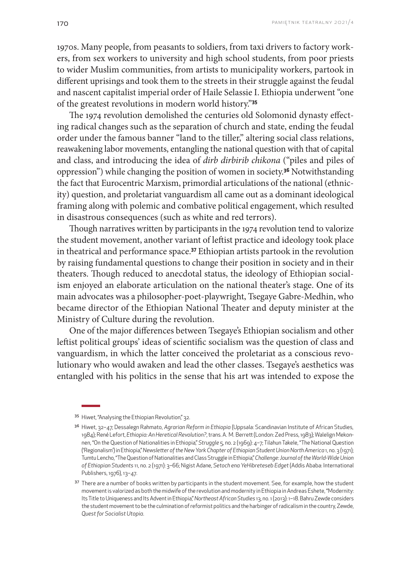1970s. Many people, from peasants to soldiers, from taxi drivers to factory workers, from sex workers to university and high school students, from poor priests to wider Muslim communities, from artists to municipality workers, partook in different uprisings and took them to the streets in their struggle against the feudal and nascent capitalist imperial order of Haile Selassie I. Ethiopia underwent "one of the greatest revolutions in modern world history."**<sup>35</sup>**

The 1974 revolution demolished the centuries old Solomonid dynasty effecting radical changes such as the separation of church and state, ending the feudal order under the famous banner "land to the tiller," altering social class relations, reawakening labor movements, entangling the national question with that of capital and class, and introducing the idea of *dirb dirbirib chikona* ("piles and piles of oppression") while changing the position of women in society.**36** Notwithstanding the fact that Eurocentric Marxism, primordial articulations of the national (ethnicity) question, and proletariat vanguardism all came out as a dominant ideological framing along with polemic and combative political engagement, which resulted in disastrous consequences (such as white and red terrors).

Though narratives written by participants in the 1974 revolution tend to valorize the student movement, another variant of leftist practice and ideology took place in theatrical and performance space.**37** Ethiopian artists partook in the revolution by raising fundamental questions to change their position in society and in their theaters. Though reduced to anecdotal status, the ideology of Ethiopian socialism enjoyed an elaborate articulation on the national theater's stage. One of its main advocates was a philosopher-poet-playwright, Tsegaye Gabre-Medhin, who became director of the Ethiopian National Theater and deputy minister at the Ministry of Culture during the revolution.

One of the major differences between Tsegaye's Ethiopian socialism and other leftist political groups' ideas of scientific socialism was the question of class and vanguardism, in which the latter conceived the proletariat as a conscious revolutionary who would awaken and lead the other classes. Tsegaye's aesthetics was entangled with his politics in the sense that his art was intended to expose the

<sup>35</sup> Hiwet, "Analysing the Ethiopian Revolution," 32.

<sup>36</sup> Hiwet, 32–47; Dessalegn Rahmato, *Agrarian Reform in Ethiopia* (Uppsala: Scandinavian Institute of African Studies, 1984); René Lefort, *Ethiopia: An Heretical Revolution?*, trans. A. M. Berrett (London: Zed Press, 1983); Walelign Mekonnen, "On the Question of Nationalities in Ethiopia," *Struggle* 5, no. 2 (1969): 4–7; Tilahun Takele, "The National Question ('Regionalism') in Ethiopia," *Newsletter of the New York Chapter of Ethiopian Student Union North America* 1, no. 3 (1971); Tumtu Lencho, "The Question of Nationalities and Class Struggle in Ethiopia," *Challenge: Journal of the World-Wide Union of Ethiopian Students* 11, no. 2 (1971): 3–66; Nigist Adane, *Setoch ena YeHibreteseb Edget* (Addis Ababa: International Publishers, 1976), 13–47.

<sup>&</sup>lt;sup>37</sup> There are a number of books written by participants in the student movement. See, for example, how the student movement is valorized as both the midwife of the revolution and modernity in Ethiopia in Andreas Eshete, "Modernity: Its Title to Uniqueness and Its Advent in Ethiopia," *Northeast African Studies* 13, no. 1 (2013): 1–18. Bahru Zewde considers the student movement to be the culmination of reformist politics and the harbinger of radicalism in the country, Zewde, *Quest for Socialist Utopia*.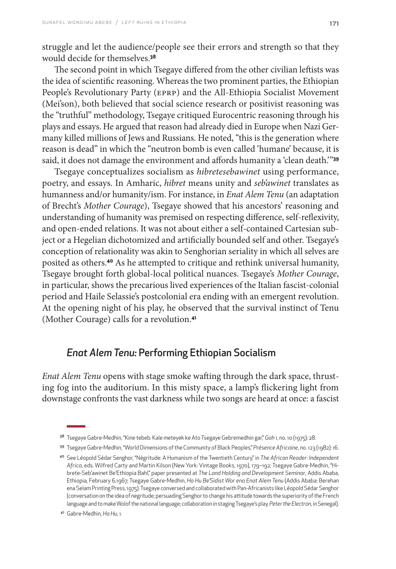struggle and let the audience/people see their errors and strength so that they would decide for themselves.**<sup>38</sup>**

The second point in which Tsegaye differed from the other civilian leftists was the idea of scientific reasoning. Whereas the two prominent parties, the Ethiopian People's Revolutionary Party (EPRP) and the All-Ethiopia Socialist Movement (Mei'son), both believed that social science research or positivist reasoning was the "truthful" methodology, Tsegaye critiqued Eurocentric reasoning through his plays and essays. He argued that reason had already died in Europe when Nazi Germany killed millions of Jews and Russians. He noted, "this is the generation where reason is dead" in which the "neutron bomb is even called 'humane' because, it is said, it does not damage the environment and affords humanity a 'clean death.'"**<sup>39</sup>**

Tsegaye conceptualizes socialism as *hibretesebawinet* using performance, poetry, and essays. In Amharic, *hibret* means unity and *seb'awinet* translates as humanness and/or humanity/ism. For instance, in *Enat Alem Tenu* (an adaptation of Brecht's *Mother Courage*), Tsegaye showed that his ancestors' reasoning and understanding of humanity was premised on respecting difference, self-reflexivity, and open-ended relations. It was not about either a self-contained Cartesian subject or a Hegelian dichotomized and artificially bounded self and other. Tsegaye's conception of relationality was akin to Senghorian seriality in which all selves are posited as others.**40** As he attempted to critique and rethink universal humanity, Tsegaye brought forth global-local political nuances. Tsegaye's *Mother Courage*, in particular, shows the precarious lived experiences of the Italian fascist-colonial period and Haile Selassie's postcolonial era ending with an emergent revolution. At the opening night of his play, he observed that the survival instinct of Tenu (Mother Courage) calls for a revolution.**<sup>41</sup>**

# *Enat Alem Tenu:* Performing Ethiopian Socialism

*Enat Alem Tenu* opens with stage smoke wafting through the dark space, thrusting fog into the auditorium. In this misty space, a lamp's flickering light from downstage confronts the vast darkness while two songs are heard at once: a fascist

<sup>38</sup> Tsegaye Gabre-Medhin, "Kine tebeb: Kale meteyek ke Ato Tsegaye Gebremedhin gar," *Goh* 1, no. 10 (1975): 28.

<sup>39</sup> Tsegaye Gabre-Medhin, "World Dimensions of the Community of Black Peoples," *Présence Africaine*, no. 123 (1982): 16.

<sup>40</sup> See Léopold Sédar Senghor, "Négritude: A Humanism of the Twentieth Century," in *The African Reader: Independent Africa*, eds. Wilfred Carty and Martin Kilson (New York: Vintage Books, 1970), 179–192; Tsegaye Gabre-Medhin, "Hibrete-Seb'awinet Be'Ethiopia Bahl," paper presented at *The Land Holding and Development Seminar*, Addis Ababa, Ethiopia, February 6,1967; Tsegaye Gabre-Medhin, *Ha Hu Be'Sidist Wor ena Enat Alem Tenu* (Addis Ababa: Berehan ena Selam Printing Press, 1975). Tsegaye conversed and collaborated with Pan-Africanists like Léopold Sédar Senghor (conversation on the idea of negritude; persuading Senghor to change his attitude towards the superiority of the French language and to make Wolof the national language; collaboration in staging Tsegaye's play, *Peter the Electron*, inSenegal).

<sup>41</sup> Gabre-Medhin, *Ha Hu*, 1.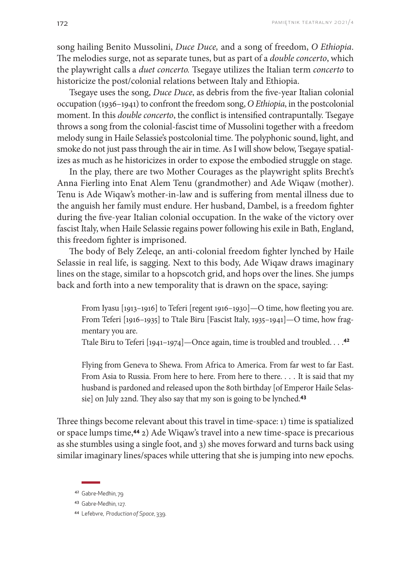song hailing Benito Mussolini, *Duce Duce,* and a song of freedom, *O Ethiopia*. The melodies surge, not as separate tunes, but as part of a *double concerto*, which the playwright calls a *duet concerto.* Tsegaye utilizes the Italian term *concerto* to historicize the post/colonial relations between Italy and Ethiopia.

Tsegaye uses the song, *Duce Duce*, as debris from the five-year Italian colonial occupation (1936–1941) to confront the freedom song, *O Ethiopia*, in the postcolonial moment. In this *double concerto*, the conflict is intensified contrapuntally. Tsegaye throws a song from the colonial-fascist time of Mussolini together with a freedom melody sung in Haile Selassie's postcolonial time. The polyphonic sound, light, and smoke do not just pass through the air in time. As I will show below, Tsegaye spatializes as much as he historicizes in order to expose the embodied struggle on stage.

In the play, there are two Mother Courages as the playwright splits Brecht's Anna Fierling into Enat Alem Tenu (grandmother) and Ade Wiqaw (mother). Tenu is Ade Wiqaw's mother-in-law and is suffering from mental illness due to the anguish her family must endure. Her husband, Dambel, is a freedom fighter during the five-year Italian colonial occupation. In the wake of the victory over fascist Italy, when Haile Selassie regains power following his exile in Bath, England, this freedom fighter is imprisoned.

The body of Bely Zeleqe, an anti-colonial freedom fighter lynched by Haile Selassie in real life, is sagging. Next to this body, Ade Wiqaw draws imaginary lines on the stage, similar to a hopscotch grid, and hops over the lines. She jumps back and forth into a new temporality that is drawn on the space, saying:

From Iyasu [1913–1916] to Teferi [regent 1916–1930]—O time, how fleeting you are. From Teferi [1916–1935] to Ttale Biru [Fascist Italy, 1935–1941]—O time, how fragmentary you are.

Ttale Biru to Teferi [1941–1974]—Once again, time is troubled and troubled. . . . **42**

Flying from Geneva to Shewa. From Africa to America. From far west to far East. From Asia to Russia. From here to here. From here to there. . . . It is said that my husband is pardoned and released upon the 80th birthday [of Emperor Haile Selassie] on July 22nd. They also say that my son is going to be lynched.**<sup>43</sup>**

Three things become relevant about this travel in time-space: 1) time is spatialized or space lumps time,**44** 2) Ade Wiqaw's travel into a new time-space is precarious as she stumbles using a single foot, and 3) she moves forward and turns back using similar imaginary lines/spaces while uttering that she is jumping into new epochs.

<sup>44</sup> Lefebvre, *Production of Space*, 339.

<sup>42</sup> Gabre-Medhin, 79

<sup>43</sup> Gabre-Medhin, 127.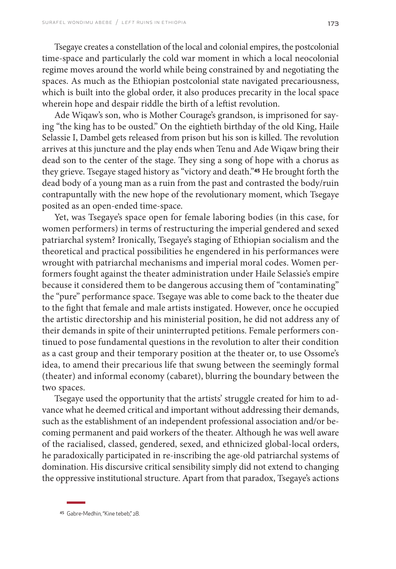Tsegaye creates a constellation of the local and colonial empires, the postcolonial time-space and particularly the cold war moment in which a local neocolonial regime moves around the world while being constrained by and negotiating the spaces. As much as the Ethiopian postcolonial state navigated precariousness, which is built into the global order, it also produces precarity in the local space wherein hope and despair riddle the birth of a leftist revolution.

Ade Wiqaw's son, who is Mother Courage's grandson, is imprisoned for saying "the king has to be ousted." On the eightieth birthday of the old King, Haile Selassie I, Dambel gets released from prison but his son is killed. The revolution arrives at this juncture and the play ends when Tenu and Ade Wiqaw bring their dead son to the center of the stage. They sing a song of hope with a chorus as they grieve. Tsegaye staged history as "victory and death."**45** He brought forth the dead body of a young man as a ruin from the past and contrasted the body/ruin contrapuntally with the new hope of the revolutionary moment, which Tsegaye posited as an open-ended time-space.

Yet, was Tsegaye's space open for female laboring bodies (in this case, for women performers) in terms of restructuring the imperial gendered and sexed patriarchal system? Ironically, Tsegaye's staging of Ethiopian socialism and the theoretical and practical possibilities he engendered in his performances were wrought with patriarchal mechanisms and imperial moral codes. Women performers fought against the theater administration under Haile Selassie's empire because it considered them to be dangerous accusing them of "contaminating" the "pure" performance space. Tsegaye was able to come back to the theater due to the fight that female and male artists instigated. However, once he occupied the artistic directorship and his ministerial position, he did not address any of their demands in spite of their uninterrupted petitions. Female performers continued to pose fundamental questions in the revolution to alter their condition as a cast group and their temporary position at the theater or, to use Ossome's idea, to amend their precarious life that swung between the seemingly formal (theater) and informal economy (cabaret), blurring the boundary between the two spaces.

Tsegaye used the opportunity that the artists' struggle created for him to advance what he deemed critical and important without addressing their demands, such as the establishment of an independent professional association and/or becoming permanent and paid workers of the theater. Although he was well aware of the racialised, classed, gendered, sexed, and ethnicized global-local orders, he paradoxically participated in re-inscribing the age-old patriarchal systems of domination. His discursive critical sensibility simply did not extend to changing the oppressive institutional structure. Apart from that paradox, Tsegaye's actions

<sup>45</sup> Gabre-Medhin, "Kine tebeb," 28.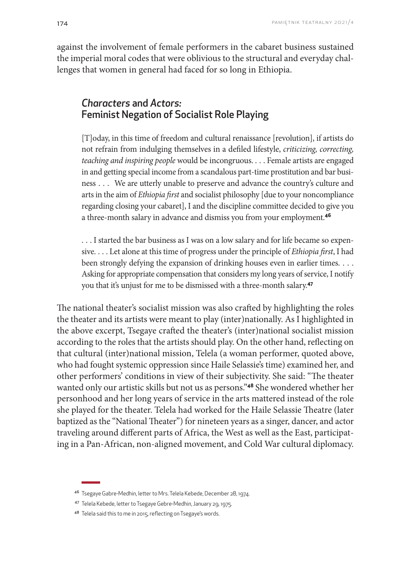against the involvement of female performers in the cabaret business sustained the imperial moral codes that were oblivious to the structural and everyday challenges that women in general had faced for so long in Ethiopia.

# *Characters* and *Actors:* Feminist Negation of Socialist Role Playing

[T]oday, in this time of freedom and cultural renaissance [revolution], if artists do not refrain from indulging themselves in a defiled lifestyle, *criticizing, correcting, teaching and inspiring people* would be incongruous. . . . Female artists are engaged in and getting special income from a scandalous part-time prostitution and bar business . . . We are utterly unable to preserve and advance the country's culture and arts in the aim of *Ethiopia first* and socialist philosophy [due to your noncompliance regarding closing your cabaret], I and the discipline committee decided to give you a three-month salary in advance and dismiss you from your employment.**<sup>46</sup>**

. . . I started the bar business as I was on a low salary and for life became so expensive. . . . Let alone at this time of progress under the principle of *Ethiopia first*, I had been strongly defying the expansion of drinking houses even in earlier times. . . . Asking for appropriate compensation that considers my long years of service, I notify you that it's unjust for me to be dismissed with a three-month salary.**<sup>47</sup>**

The national theater's socialist mission was also crafted by highlighting the roles the theater and its artists were meant to play (inter)nationally. As I highlighted in the above excerpt, Tsegaye crafted the theater's (inter)national socialist mission according to the roles that the artists should play. On the other hand, reflecting on that cultural (inter)national mission, Telela (a woman performer, quoted above, who had fought systemic oppression since Haile Selassie's time) examined her, and other performers' conditions in view of their subjectivity. She said: "The theater wanted only our artistic skills but not us as persons."**48** She wondered whether her personhood and her long years of service in the arts mattered instead of the role she played for the theater. Telela had worked for the Haile Selassie Theatre (later baptized as the "National Theater") for nineteen years as a singer, dancer, and actor traveling around different parts of Africa, the West as well as the East, participating in a Pan-African, non-aligned movement, and Cold War cultural diplomacy.

<sup>46</sup> Tsegaye Gabre-Medhin, letter to Mrs. Telela Kebede, December 28, 1974.

<sup>47</sup> Telela Kebede, letter to Tsegaye Gebre-Medhin, January 29, 1975.

<sup>48</sup> Telela said this to me in 2015, reflecting on Tsegaye's words.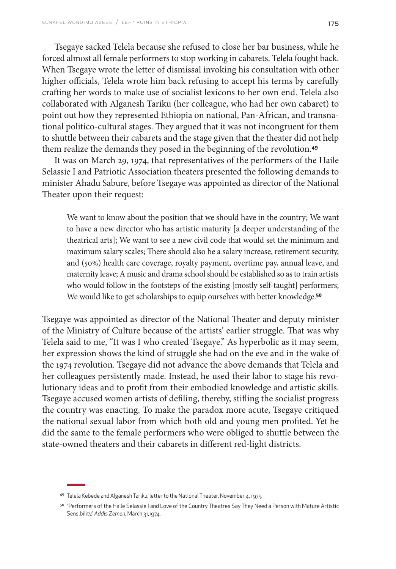Tsegaye sacked Telela because she refused to close her bar business, while he forced almost all female performers to stop working in cabarets. Telela fought back. When Tsegaye wrote the letter of dismissal invoking his consultation with other higher officials, Telela wrote him back refusing to accept his terms by carefully crafting her words to make use of socialist lexicons to her own end. Telela also collaborated with Alganesh Tariku (her colleague, who had her own cabaret) to point out how they represented Ethiopia on national, Pan-African, and transnational politico-cultural stages. They argued that it was not incongruent for them to shuttle between their cabarets and the stage given that the theater did not help them realize the demands they posed in the beginning of the revolution.**<sup>49</sup>**

It was on March 29, 1974, that representatives of the performers of the Haile Selassie I and Patriotic Association theaters presented the following demands to minister Ahadu Sabure, before Tsegaye was appointed as director of the National Theater upon their request:

We want to know about the position that we should have in the country; We want to have a new director who has artistic maturity [a deeper understanding of the theatrical arts]; We want to see a new civil code that would set the minimum and maximum salary scales; There should also be a salary increase, retirement security, and (50%) health care coverage, royalty payment, overtime pay, annual leave, and maternity leave; A music and drama school should be established so as to train artists who would follow in the footsteps of the existing [mostly self-taught] performers; We would like to get scholarships to equip ourselves with better knowledge.**<sup>50</sup>**

Tsegaye was appointed as director of the National Theater and deputy minister of the Ministry of Culture because of the artists' earlier struggle. That was why Telela said to me, "It was I who created Tsegaye." As hyperbolic as it may seem, her expression shows the kind of struggle she had on the eve and in the wake of the 1974 revolution. Tsegaye did not advance the above demands that Telela and her colleagues persistently made. Instead, he used their labor to stage his revolutionary ideas and to profit from their embodied knowledge and artistic skills. Tsegaye accused women artists of defiling, thereby, stifling the socialist progress the country was enacting. To make the paradox more acute, Tsegaye critiqued the national sexual labor from which both old and young men profited. Yet he did the same to the female performers who were obliged to shuttle between the state-owned theaters and their cabarets in different red-light districts.

<sup>49</sup> Telela Kebede and Alganesh Tariku, letter to the National Theater, November 4, 1975.

<sup>50</sup> "Performers of the Haile Selassie I and Love of the Country Theatres Say They Need a Person with Mature Artistic Sensibility," *Addis Zemen*, March 31,1974.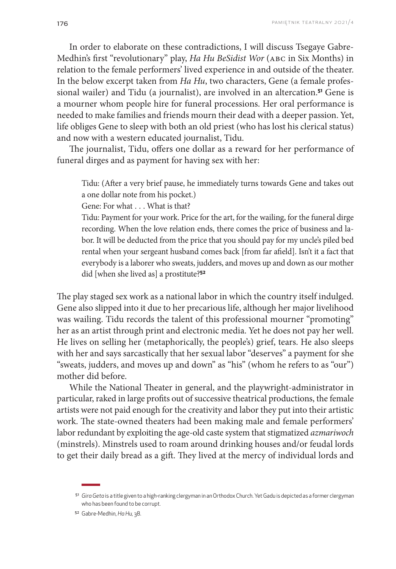In order to elaborate on these contradictions, I will discuss Tsegaye Gabre-Medhin's first "revolutionary" play, *Ha Hu BeSidist Wor* (ABC in Six Months) in relation to the female performers' lived experience in and outside of the theater. In the below excerpt taken from *Ha Hu*, two characters, Gene (a female professional wailer) and Tidu (a journalist), are involved in an altercation.**51** Gene is a mourner whom people hire for funeral processions. Her oral performance is needed to make families and friends mourn their dead with a deeper passion. Yet, life obliges Gene to sleep with both an old priest (who has lost his clerical status) and now with a western educated journalist, Tidu.

The journalist, Tidu, offers one dollar as a reward for her performance of funeral dirges and as payment for having sex with her:

Tidu: (After a very brief pause, he immediately turns towards Gene and takes out a one dollar note from his pocket.)

Gene: For what . . . What is that?

Tidu: Payment for your work. Price for the art, for the wailing, for the funeral dirge recording. When the love relation ends, there comes the price of business and labor. It will be deducted from the price that you should pay for my uncle's piled bed rental when your sergeant husband comes back [from far afield]. Isn't it a fact that everybody is a laborer who sweats, judders, and moves up and down as our mother did [when she lived as] a prostitute?**<sup>52</sup>**

The play staged sex work as a national labor in which the country itself indulged. Gene also slipped into it due to her precarious life, although her major livelihood was wailing. Tidu records the talent of this professional mourner "promoting" her as an artist through print and electronic media. Yet he does not pay her well. He lives on selling her (metaphorically, the people's) grief, tears. He also sleeps with her and says sarcastically that her sexual labor "deserves" a payment for she "sweats, judders, and moves up and down" as "his" (whom he refers to as "our") mother did before.

While the National Theater in general, and the playwright-administrator in particular, raked in large profits out of successive theatrical productions, the female artists were not paid enough for the creativity and labor they put into their artistic work. The state-owned theaters had been making male and female performers' labor redundant by exploiting the age-old caste system that stigmatized *azmariwoch* (minstrels). Minstrels used to roam around drinking houses and/or feudal lords to get their daily bread as a gift. They lived at the mercy of individual lords and

<sup>51</sup> *Gira Geta* is a title given to a high-ranking clergyman in an Orthodox Church. Yet Gadu is depicted as a former clergyman who has been found to be corrupt.

<sup>52</sup> Gabre-Medhin, *Ha Hu,* 38.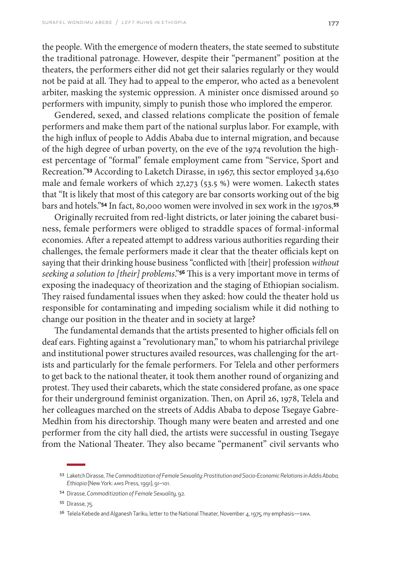the people. With the emergence of modern theaters, the state seemed to substitute the traditional patronage. However, despite their "permanent" position at the theaters, the performers either did not get their salaries regularly or they would not be paid at all. They had to appeal to the emperor, who acted as a benevolent arbiter, masking the systemic oppression. A minister once dismissed around 50 performers with impunity, simply to punish those who implored the emperor.

Gendered, sexed, and classed relations complicate the position of female performers and make them part of the national surplus labor. For example, with the high influx of people to Addis Ababa due to internal migration, and because of the high degree of urban poverty, on the eve of the 1974 revolution the highest percentage of "formal" female employment came from "Service, Sport and Recreation."**53** According to Laketch Dirasse, in 1967, this sector employed 34,630 male and female workers of which 27,273 (53.5 %) were women. Lakecth states that "It is likely that most of this category are bar consorts working out of the big bars and hotels."**54** In fact, 80,000 women were involved in sex work in the 1970s.**<sup>55</sup>**

Originally recruited from red-light districts, or later joining the cabaret business, female performers were obliged to straddle spaces of formal-informal economies. After a repeated attempt to address various authorities regarding their challenges, the female performers made it clear that the theater officials kept on saying that their drinking house business "conflicted with [their] profession *without seeking a solution to [their] problems*."**56** This is a very important move in terms of exposing the inadequacy of theorization and the staging of Ethiopian socialism. They raised fundamental issues when they asked: how could the theater hold us responsible for contaminating and impeding socialism while it did nothing to change our position in the theater and in society at large?

The fundamental demands that the artists presented to higher officials fell on deaf ears. Fighting against a "revolutionary man," to whom his patriarchal privilege and institutional power structures availed resources, was challenging for the artists and particularly for the female performers. For Telela and other performers to get back to the national theater, it took them another round of organizing and protest. They used their cabarets, which the state considered profane, as one space for their underground feminist organization. Then, on April 26, 1978, Telela and her colleagues marched on the streets of Addis Ababa to depose Tsegaye Gabre-Medhin from his directorship. Though many were beaten and arrested and one performer from the city hall died, the artists were successful in ousting Tsegaye from the National Theater. They also became "permanent" civil servants who

<sup>53</sup> Laketch Dirasse, *The Commoditization of Female Sexuality: Prostitution and Socio-Economic Relations in Addis Ababa, Ethiopia* (New York: AMS Press, 1991), 91–101.

<sup>54</sup> Dirasse, *Commoditization of Female Sexuality*, 92.

<sup>55</sup> Dirasse, 75.

<sup>56</sup> Telela Kebede and Alganesh Tariku, letter to the National Theater, November 4, 1975, my emphasis—swa.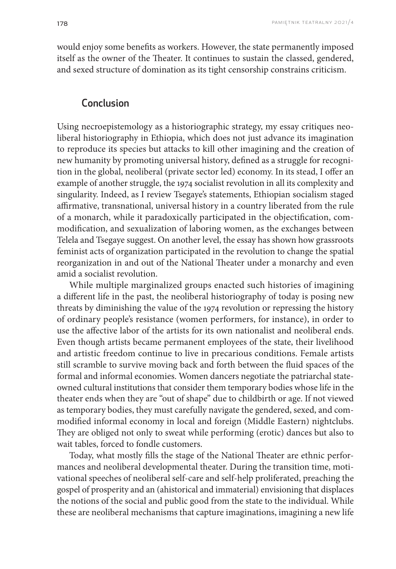would enjoy some benefits as workers. However, the state permanently imposed itself as the owner of the Theater. It continues to sustain the classed, gendered, and sexed structure of domination as its tight censorship constrains criticism.

#### Conclusion

Using necroepistemology as a historiographic strategy, my essay critiques neoliberal historiography in Ethiopia, which does not just advance its imagination to reproduce its species but attacks to kill other imagining and the creation of new humanity by promoting universal history, defined as a struggle for recognition in the global, neoliberal (private sector led) economy. In its stead, I offer an example of another struggle, the 1974 socialist revolution in all its complexity and singularity. Indeed, as I review Tsegaye's statements, Ethiopian socialism staged affirmative, transnational, universal history in a country liberated from the rule of a monarch, while it paradoxically participated in the objectification, commodification, and sexualization of laboring women, as the exchanges between Telela and Tsegaye suggest. On another level, the essay has shown how grassroots feminist acts of organization participated in the revolution to change the spatial reorganization in and out of the National Theater under a monarchy and even amid a socialist revolution.

While multiple marginalized groups enacted such histories of imagining a different life in the past, the neoliberal historiography of today is posing new threats by diminishing the value of the 1974 revolution or repressing the history of ordinary people's resistance (women performers, for instance), in order to use the affective labor of the artists for its own nationalist and neoliberal ends. Even though artists became permanent employees of the state, their livelihood and artistic freedom continue to live in precarious conditions. Female artists still scramble to survive moving back and forth between the fluid spaces of the formal and informal economies. Women dancers negotiate the patriarchal stateowned cultural institutions that consider them temporary bodies whose life in the theater ends when they are "out of shape" due to childbirth or age. If not viewed as temporary bodies, they must carefully navigate the gendered, sexed, and commodified informal economy in local and foreign (Middle Eastern) nightclubs. They are obliged not only to sweat while performing (erotic) dances but also to wait tables, forced to fondle customers.

Today, what mostly fills the stage of the National Theater are ethnic performances and neoliberal developmental theater. During the transition time, motivational speeches of neoliberal self-care and self-help proliferated, preaching the gospel of prosperity and an (ahistorical and immaterial) envisioning that displaces the notions of the social and public good from the state to the individual. While these are neoliberal mechanisms that capture imaginations, imagining a new life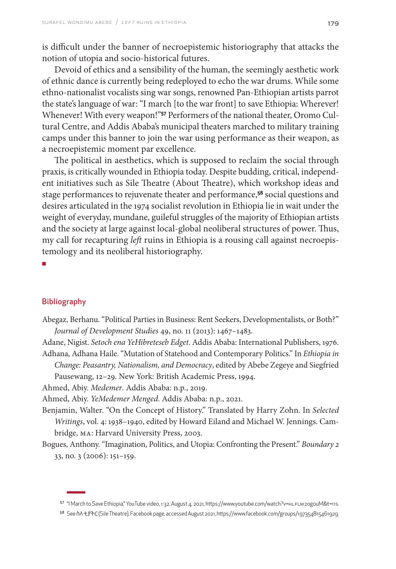is difficult under the banner of necroepistemic historiography that attacks the notion of utopia and socio-historical futures.

Devoid of ethics and a sensibility of the human, the seemingly aesthetic work of ethnic dance is currently being redeployed to echo the war drums. While some ethno-nationalist vocalists sing war songs, renowned Pan-Ethiopian artists parrot the state's language of war: "I march [to the war front] to save Ethiopia: Wherever! Whenever! With every weapon!"**57** Performers of the national theater, Oromo Cultural Centre, and Addis Ababa's municipal theaters marched to military training camps under this banner to join the war using performance as their weapon, as a necroepistemic moment par excellence.

The political in aesthetics, which is supposed to reclaim the social through praxis, is critically wounded in Ethiopia today. Despite budding, critical, independent initiatives such as Sile Theatre (About Theatre), which workshop ideas and stage performances to rejuvenate theater and performance,**58** social questions and desires articulated in the 1974 socialist revolution in Ethiopia lie in wait under the weight of everyday, mundane, guileful struggles of the majority of Ethiopian artists and the society at large against local-global neoliberal structures of power. Thus, my call for recapturing *left* ruins in Ethiopia is a rousing call against necroepistemology and its neoliberal historiography.

■

#### Bibliography

Abegaz, Berhanu. "Political Parties in Business: Rent Seekers, Developmentalists, or Both?" *Journal of Development Studies* 49, no. 11 (2013): 1467–1483.

Adane, Nigist. *Setoch ena YeHibreteseb Edget*. Addis Ababa: International Publishers, 1976. Adhana, Adhana Haile. "Mutation of Statehood and Contemporary Politics." In *Ethiopia in* 

*Change: Peasantry, Nationalism, and Democracy*, edited by Abebe Zegeye and Siegfried Pausewang, 12–29. New York: British Academic Press, 1994.

Ahmed, Abiy. *Medemer*. Addis Ababa: n.p., 2019.

Ahmed, Abiy. *YeMedemer Menged*. Addis Ababa: n.p., 2021.

- Benjamin, Walter. "On the Concept of History." Translated by Harry Zohn. In *Selected Writings*, vol. 4: 1938–1940, edited by Howard Eiland and Michael W. Jennings. Cambridge, MA: Harvard University Press, 2003.
- Bogues, Anthony. "Imagination, Politics, and Utopia: Confronting the Present." *Boundary 2* 33, no. 3 (2006): 151–159.

<sup>57 &</sup>quot;I March to Save Ethiopia," YouTube video, 1:32, August 4, 2021, https://www.youtube.com/watch?v=HLFLW2ogouM&t=11s.

<sup>58</sup> See ስለቲያትር (Sile Theatre), Facebook page, accessed August 2021,<https://www.facebook.com/groups/197354815461929.>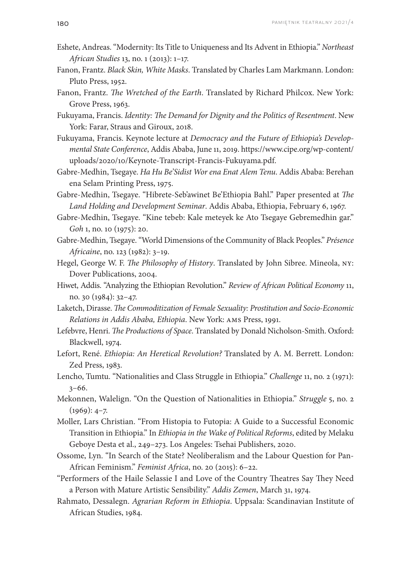- Eshete, Andreas. "Modernity: Its Title to Uniqueness and Its Advent in Ethiopia." *Northeast African Studies* 13, no. 1 (2013): 1–17.
- Fanon, Frantz. *Black Skin, White Masks*. Translated by Charles Lam Markmann. London: Pluto Press, 1952.
- Fanon, Frantz. *The Wretched of the Earth*. Translated by Richard Philcox. New York: Grove Press, 1963.
- Fukuyama, Francis. *Identity: The Demand for Dignity and the Politics of Resentment*. New York: Farar, Straus and Giroux, 2018.
- Fukuyama, Francis. Keynote lecture at *Democracy and the Future of Ethiopia's Developmental State Conference*, Addis Ababa, June 11, 2019. [https://www.cipe.org/wp-content/](https://www.cipe.org/wp-content/uploads/2020/10/Keynote-Transcript-Francis-Fukuyama.pdf) [uploads/2020/10/Keynote-Transcript-Francis-Fukuyama.pdf.](https://www.cipe.org/wp-content/uploads/2020/10/Keynote-Transcript-Francis-Fukuyama.pdf)
- Gabre-Medhin, Tsegaye. *Ha Hu Be'Sidist Wor ena Enat Alem Tenu*. Addis Ababa: Berehan ena Selam Printing Press, 1975.
- Gabre-Medhin, Tsegaye. "Hibrete-Seb'awinet Be'Ethiopia Bahl." Paper presented at *The Land Holding and Development Seminar*. Addis Ababa, Ethiopia, February 6, 1967.
- Gabre-Medhin, Tsegaye. "Kine tebeb: Kale meteyek ke Ato Tsegaye Gebremedhin gar." *Goh* 1, no. 10 (1975): 20.
- Gabre-Medhin, Tsegaye. "World Dimensions of the Community of Black Peoples." *Présence Africaine*, no. 123 (1982): 3–19.
- Hegel, George W. F. *The Philosophy of History*. Translated by John Sibree. Mineola, NY: Dover Publications, 2004.
- Hiwet, Addis. "Analyzing the Ethiopian Revolution." *Review of African Political Economy* 11, no. 30 (1984): 32–47.
- Laketch, Dirasse. *The Commoditization of Female Sexuality: Prostitution and Socio-Economic Relations in Addis Ababa, Ethiopia*. New York: AMS Press, 1991.
- Lefebvre, Henri. *The Productions of Space*. Translated by Donald Nicholson-Smith. Oxford: Blackwell, 1974.
- Lefort, René. *Ethiopia: An Heretical Revolution?* Translated by A. M. Berrett. London: Zed Press, 1983.
- Lencho, Tumtu. "Nationalities and Class Struggle in Ethiopia." *Challenge* 11, no. 2 (1971): 3–66.
- Mekonnen, Walelign. "On the Question of Nationalities in Ethiopia." *Struggle* 5, no. 2  $(1969): 4-7.$
- Moller, Lars Christian. "From Histopia to Futopia: A Guide to a Successful Economic Transition in Ethiopia." In *Ethiopia in the Wake of Political Reforms*, edited by Melaku Geboye Desta et al., 249–273. Los Angeles: Tsehai Publishers, 2020.
- Ossome, Lyn. "In Search of the State? Neoliberalism and the Labour Question for Pan-African Feminism." *Feminist Africa*, no. 20 (2015): 6–22.
- "Performers of the Haile Selassie I and Love of the Country Theatres Say They Need a Person with Mature Artistic Sensibility." *Addis Zemen*, March 31, 1974.
- Rahmato, Dessalegn. *Agrarian Reform in Ethiopia*. Uppsala: Scandinavian Institute of African Studies, 1984.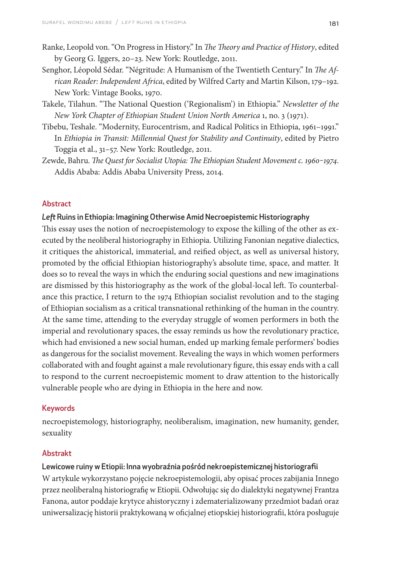- Ranke, Leopold von. "On Progress in History." In *The Theory and Practice of History*, edited by Georg G. Iggers, 20–23. New York: Routledge, 2011.
- Senghor, Léopold Sédar. "Négritude: A Humanism of the Twentieth Century." In *The African Reader: Independent Africa*, edited by Wilfred Carty and Martin Kilson, 179–192. New York: Vintage Books, 1970.
- Takele, Tilahun. "The National Question ('Regionalism') in Ethiopia." *Newsletter of the New York Chapter of Ethiopian Student Union North America* 1, no. 3 (1971).
- Tibebu, Teshale. "Modernity, Eurocentrism, and Radical Politics in Ethiopia, 1961–1991." In *Ethiopia in Transit: Millennial Quest for Stability and Continuity*, edited by Pietro Toggia et al., 31–57. New York: Routledge, 2011.
- Zewde, Bahru. *The Quest for Socialist Utopia: The Ethiopian Student Movement c. 1960-1974*. Addis Ababa: Addis Ababa University Press, 2014.

#### Abstract

#### *Left* Ruins in Ethiopia: Imagining Otherwise Amid Necroepistemic Historiography

This essay uses the notion of necroepistemology to expose the killing of the other as executed by the neoliberal historiography in Ethiopia. Utilizing Fanonian negative dialectics, it critiques the ahistorical, immaterial, and reified object, as well as universal history, promoted by the official Ethiopian historiography's absolute time, space, and matter. It does so to reveal the ways in which the enduring social questions and new imaginations are dismissed by this historiography as the work of the global-local left. To counterbalance this practice, I return to the 1974 Ethiopian socialist revolution and to the staging of Ethiopian socialism as a critical transnational rethinking of the human in the country. At the same time, attending to the everyday struggle of women performers in both the imperial and revolutionary spaces, the essay reminds us how the revolutionary practice, which had envisioned a new social human, ended up marking female performers' bodies as dangerous for the socialist movement. Revealing the ways in which women performers collaborated with and fought against a male revolutionary figure, this essay ends with a call to respond to the current necroepistemic moment to draw attention to the historically vulnerable people who are dying in Ethiopia in the here and now.

#### Keywords

necroepistemology, historiography, neoliberalism, imagination, new humanity, gender, sexuality

#### Abstrakt

#### Lewicowe ruiny w Etiopii: Inna wyobraźnia pośród nekroepistemicznej historiografii

W artykule wykorzystano pojęcie nekroepistemologii, aby opisać proces zabijania Innego przez neoliberalną historiografię w Etiopii. Odwołując się do dialektyki negatywnej Frantza Fanona, autor poddaje krytyce ahistoryczny i zdematerializowany przedmiot badań oraz uniwersalizację historii praktykowaną w oficjalnej etiopskiej historiografii, która posługuje